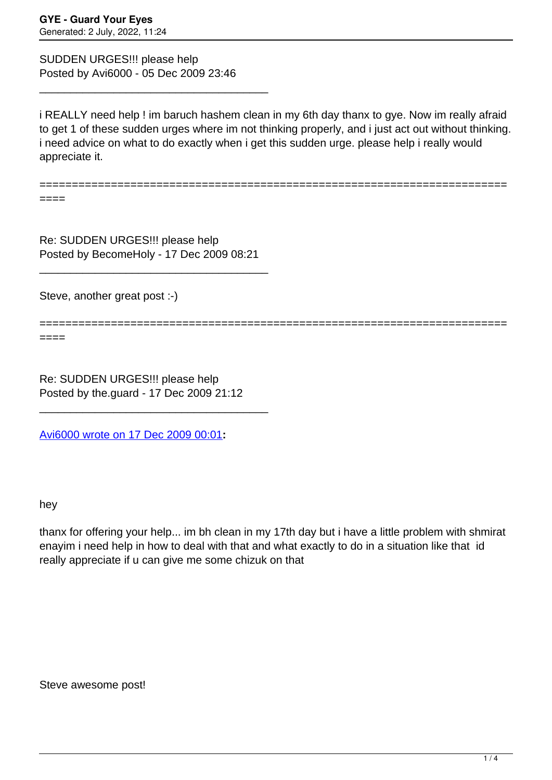SUDDEN URGES!!! please help Posted by Avi6000 - 05 Dec 2009 23:46

\_\_\_\_\_\_\_\_\_\_\_\_\_\_\_\_\_\_\_\_\_\_\_\_\_\_\_\_\_\_\_\_\_\_\_\_\_

i REALLY need help ! im baruch hashem clean in my 6th day thanx to gye. Now im really afraid to get 1 of these sudden urges where im not thinking properly, and i just act out without thinking. i need advice on what to do exactly when i get this sudden urge. please help i really would appreciate it.

========================================================================

====

Re: SUDDEN URGES!!! please help Posted by BecomeHoly - 17 Dec 2009 08:21

\_\_\_\_\_\_\_\_\_\_\_\_\_\_\_\_\_\_\_\_\_\_\_\_\_\_\_\_\_\_\_\_\_\_\_\_\_

Steve, another great post :-)

========================================================================

====

Re: SUDDEN URGES!!! please help Posted by the.guard - 17 Dec 2009 21:12

\_\_\_\_\_\_\_\_\_\_\_\_\_\_\_\_\_\_\_\_\_\_\_\_\_\_\_\_\_\_\_\_\_\_\_\_\_

[Avi6000 wrote on 17 Dec 2009 00:01](/forum/id-)**:**

hey

thanx for offering your help... im bh clean in my 17th day but i have a little problem with shmirat enayim i need help in how to deal with that and what exactly to do in a situation like that id really appreciate if u can give me some chizuk on that

Steve awesome post!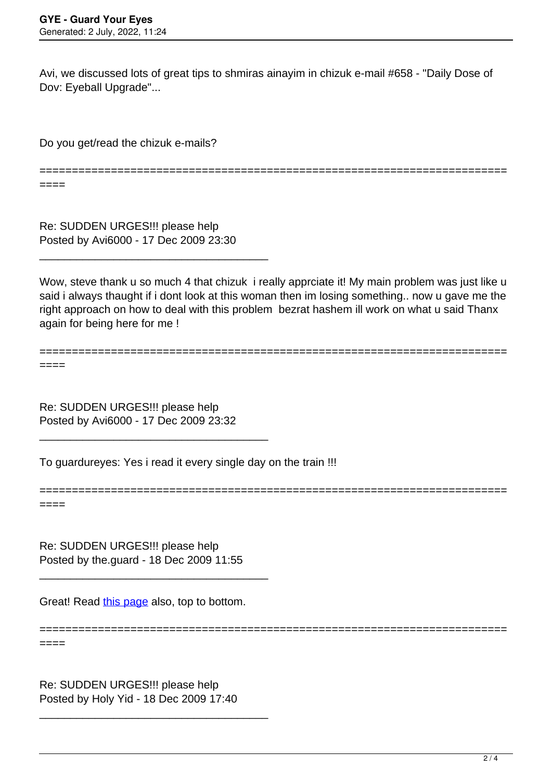Avi, we discussed lots of great tips to shmiras ainayim in chizuk e-mail #658 - "Daily Dose of Dov: Eyeball Upgrade"...

Do you get/read the chizuk e-mails?

========================================================================

Re: SUDDEN URGES!!! please help Posted by Avi6000 - 17 Dec 2009 23:30

\_\_\_\_\_\_\_\_\_\_\_\_\_\_\_\_\_\_\_\_\_\_\_\_\_\_\_\_\_\_\_\_\_\_\_\_\_

Wow, steve thank u so much 4 that chizuk i really apprciate it! My main problem was just like u said i always thaught if i dont look at this woman then im losing something.. now u gave me the right approach on how to deal with this problem bezrat hashem ill work on what u said Thanx again for being here for me !

========================================================================

====

====

Re: SUDDEN URGES!!! please help Posted by Avi6000 - 17 Dec 2009 23:32

\_\_\_\_\_\_\_\_\_\_\_\_\_\_\_\_\_\_\_\_\_\_\_\_\_\_\_\_\_\_\_\_\_\_\_\_\_

To guardureyes: Yes i read it every single day on the train !!!

======================================================================== ====

Re: SUDDEN URGES!!! please help Posted by the.guard - 18 Dec 2009 11:55

\_\_\_\_\_\_\_\_\_\_\_\_\_\_\_\_\_\_\_\_\_\_\_\_\_\_\_\_\_\_\_\_\_\_\_\_\_

Great! Read [this page](http://www.guardureyes.com/GUE/Tips/GuardEyes2.asp) also, top to bottom.

======================================================================== ====

Re: SUDDEN URGES!!! please help Posted by Holy Yid - 18 Dec 2009 17:40

\_\_\_\_\_\_\_\_\_\_\_\_\_\_\_\_\_\_\_\_\_\_\_\_\_\_\_\_\_\_\_\_\_\_\_\_\_